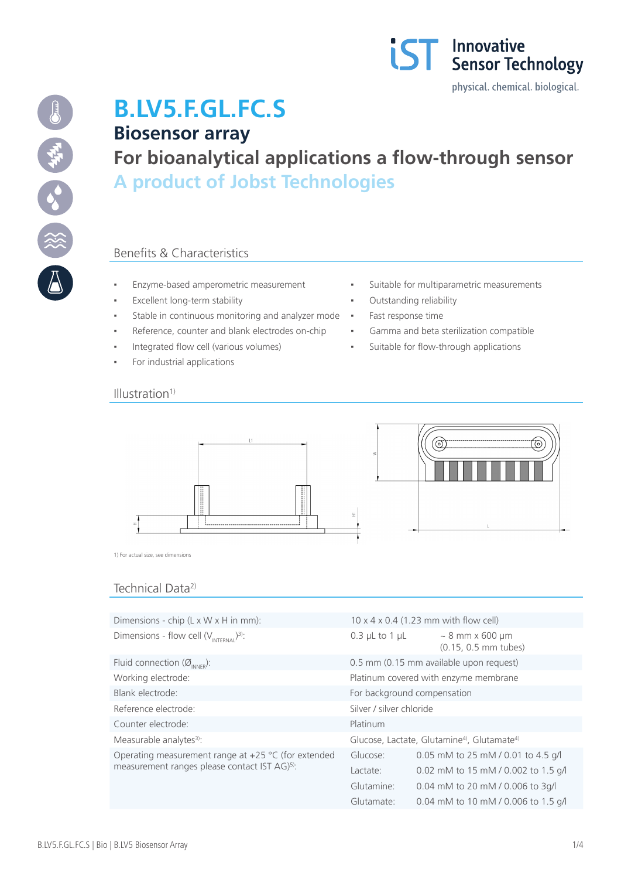



# **B.LV5.F.GL.FC.S Biosensor array**

**For bioanalytical applications a flow-through sensor A product of Jobst Technologies**

### Benefits & Characteristics

- 
- Excellent long-term stability  $\qquad \qquad \bullet$  Outstanding reliability
- Stable in continuous monitoring and analyzer mode · Fast response time
- Reference, counter and blank electrodes on-chip **·** Gamma and beta sterilization compatible
- Integrated flow cell (various volumes) Suitable for flow-through applications
- For industrial applications
- Enzyme-based amperometric measurement **·** Suitable for multiparametric measurements
	-
	-
	-
	-

#### $Illustration<sup>1</sup>$



1) For actual size, see dimensions

## Technical Data2)

| Dimensions - chip $(L \times W \times H)$ in mm):                                                                  | $10 \times 4 \times 0.4$ (1.23 mm with flow cell)                  |                                              |  |
|--------------------------------------------------------------------------------------------------------------------|--------------------------------------------------------------------|----------------------------------------------|--|
| Dimensions - flow cell $(V_{\text{INTERMAI}})^{3}$ .                                                               | $0.3$ µL to 1 µL                                                   | $\sim 8$ mm x 600 µm<br>(0.15, 0.5 mm tubes) |  |
| Fluid connection $(\emptyset_{\text{INNFR}})$ :                                                                    | 0.5 mm (0.15 mm available upon request)                            |                                              |  |
| Working electrode:                                                                                                 | Platinum covered with enzyme membrane                              |                                              |  |
| Blank electrode:                                                                                                   | For background compensation                                        |                                              |  |
| Reference electrode:                                                                                               | Silver / silver chloride                                           |                                              |  |
| Counter electrode:                                                                                                 | Platinum                                                           |                                              |  |
| Measurable analytes <sup>3)</sup> :                                                                                | Glucose, Lactate, Glutamine <sup>4</sup> , Glutamate <sup>4)</sup> |                                              |  |
| Operating measurement range at $+25$ °C (for extended<br>measurement ranges please contact IST AG) <sup>5)</sup> : | Glucose:                                                           | 0.05 mM to 25 mM / 0.01 to 4.5 g/l           |  |
|                                                                                                                    | Lactate:                                                           | 0.02 mM to 15 mM / 0.002 to 1.5 g/l          |  |
|                                                                                                                    | Glutamine:                                                         | 0.04 mM to 20 mM / 0.006 to 3q/l             |  |
|                                                                                                                    | Glutamate:                                                         | 0.04 mM to 10 mM / 0.006 to 1.5 g/l          |  |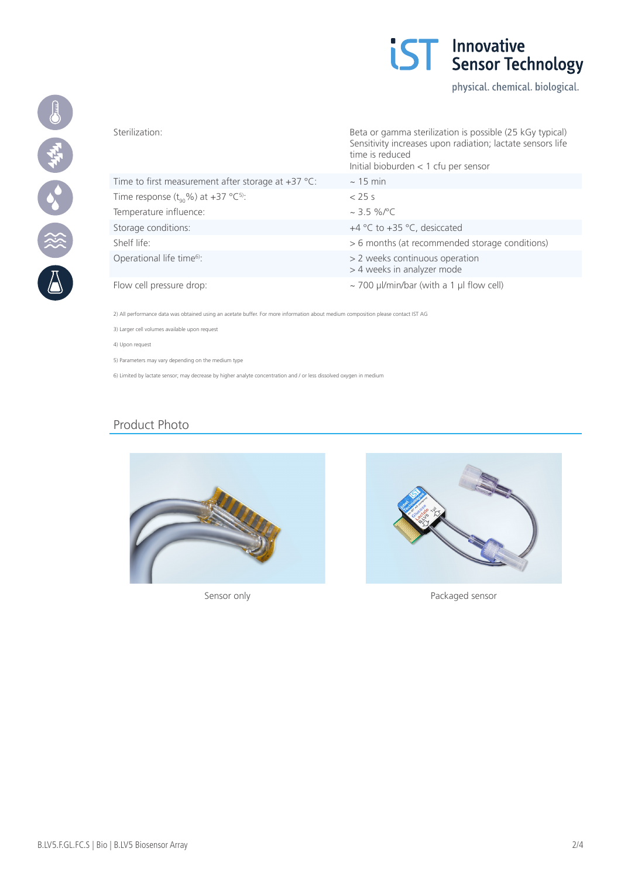

physical. chemical. biological.



|                                                            | Sensitivity increases upon radiation; lactate sensors life<br>time is reduced<br>Initial bioburden $<$ 1 cfu per sensor |
|------------------------------------------------------------|-------------------------------------------------------------------------------------------------------------------------|
| Time to first measurement after storage at $+37$ °C:       | $\sim$ 15 min                                                                                                           |
| Time response $(t_{\alpha} \% )$ at +37 °C <sup>5)</sup> : | $<$ 25 s                                                                                                                |
| Temperature influence:                                     | $\sim$ 3.5 %/°C                                                                                                         |
| Storage conditions:                                        | +4 $\degree$ C to +35 $\degree$ C, desiccated                                                                           |
| Shelf life:                                                | > 6 months (at recommended storage conditions)                                                                          |
| Operational life time <sup>6</sup> :                       | > 2 weeks continuous operation<br>> 4 weeks in analyzer mode                                                            |
| Flow cell pressure drop:                                   | $\sim$ 700 µl/min/bar (with a 1 µl flow cell)                                                                           |

Sterilization: Beta or gamma sterilization is possible (25 kGy typical)

2) All performance data was obtained using an acetate buffer. For more information about medium composition please contact IST AG

3) Larger cell volumes available upon request

4) Upon request

5) Parameters may vary depending on the medium type

6) Limited by lactate sensor; may decrease by higher analyte concentration and / or less dissolved oxygen in medium

#### Product Photo





Sensor only **Packaged sensor**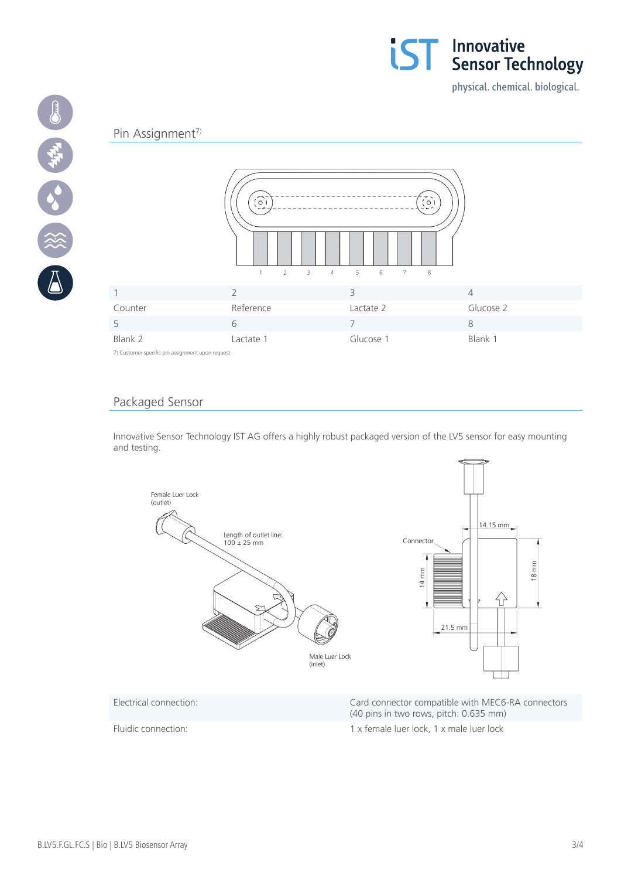

physical. chemical. biological.

#### Pin Assignment<sup>7)</sup>

19 中午 38 後



7) Customer specific pin assignment upon request

#### Packaged Sensor

Innovative Sensor Technology IST AG offers a highly robust packaged version of the LV5 sensor for easy mounting and testing.